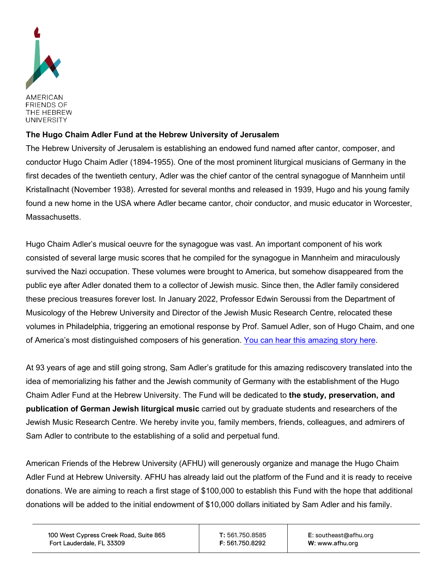

## **The Hugo Chaim Adler Fund at the Hebrew University of Jerusalem**

The Hebrew University of Jerusalem is establishing an endowed fund named after cantor, composer, and conductor Hugo Chaim Adler (1894-1955). One of the most prominent liturgical musicians of Germany in the first decades of the twentieth century, Adler was the chief cantor of the central synagogue of Mannheim until Kristallnacht (November 1938). Arrested for several months and released in 1939, Hugo and his young family found a new home in the USA where Adler became cantor, choir conductor, and music educator in Worcester, Massachusetts.

Hugo Chaim Adler's musical oeuvre for the synagogue was vast. An important component of his work consisted of several large music scores that he compiled for the synagogue in Mannheim and miraculously survived the Nazi occupation. These volumes were brought to America, but somehow disappeared from the public eye after Adler donated them to a collector of Jewish music. Since then, the Adler family considered these precious treasures forever lost. In January 2022, Professor Edwin Seroussi from the Department of Musicology of the Hebrew University and Director of the Jewish Music Research Centre, relocated these volumes in Philadelphia, triggering an emotional response by Prof. Samuel Adler, son of Hugo Chaim, and one of America's most distinguished composers of his generation. [You can hear this amazing story here.](https://www.youtube.com/watch?v=e1h_3kQF2xc)

At 93 years of age and still going strong, Sam Adler's gratitude for this amazing rediscovery translated into the idea of memorializing his father and the Jewish community of Germany with the establishment of the Hugo Chaim Adler Fund at the Hebrew University. The Fund will be dedicated to **the study, preservation, and publication of German Jewish liturgical music** carried out by graduate students and researchers of the Jewish Music Research Centre. We hereby invite you, family members, friends, colleagues, and admirers of Sam Adler to contribute to the establishing of a solid and perpetual fund.

American Friends of the Hebrew University (AFHU) will generously organize and manage the Hugo Chaim Adler Fund at Hebrew University. AFHU has already laid out the platform of the Fund and it is ready to receive donations. We are aiming to reach a first stage of \$100,000 to establish this Fund with the hope that additional donations will be added to the initial endowment of \$10,000 dollars initiated by Sam Adler and his family.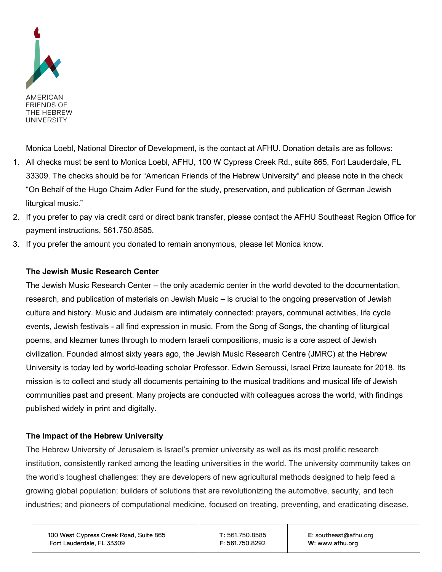

Monica Loebl, National Director of Development, is the contact at AFHU. Donation details are as follows:

- 1. All checks must be sent to Monica Loebl, AFHU, 100 W Cypress Creek Rd., suite 865, Fort Lauderdale, FL 33309. The checks should be for "American Friends of the Hebrew University" and please note in the check "On Behalf of the Hugo Chaim Adler Fund for the study, preservation, and publication of German Jewish liturgical music."
- 2. If you prefer to pay via credit card or direct bank transfer, please contact the AFHU Southeast Region Office for payment instructions, 561.750.8585.
- 3. If you prefer the amount you donated to remain anonymous, please let Monica know.

## **The Jewish Music Research Center**

The Jewish Music Research Center – the only academic center in the world devoted to the documentation, research, and publication of materials on Jewish Music – is crucial to the ongoing preservation of Jewish culture and history. Music and Judaism are intimately connected: prayers, communal activities, life cycle events, Jewish festivals - all find expression in music. From the Song of Songs, the chanting of liturgical poems, and klezmer tunes through to modern Israeli compositions, music is a core aspect of Jewish civilization. Founded almost sixty years ago, the Jewish Music Research Centre (JMRC) at the Hebrew University is today led by world-leading scholar Professor. Edwin Seroussi, Israel Prize laureate for 2018. Its mission is to collect and study all documents pertaining to the musical traditions and musical life of Jewish communities past and present. Many projects are conducted with colleagues across the world, with findings published widely in print and digitally.

## **The Impact of the Hebrew University**

The Hebrew University of Jerusalem is Israel's premier university as well as its most prolific research institution, consistently ranked among the leading universities in the world. The university community takes on the world's toughest challenges: they are developers of new agricultural methods designed to help feed a growing global population; builders of solutions that are revolutionizing the automotive, security, and tech industries; and pioneers of computational medicine, focused on treating, preventing, and eradicating disease.